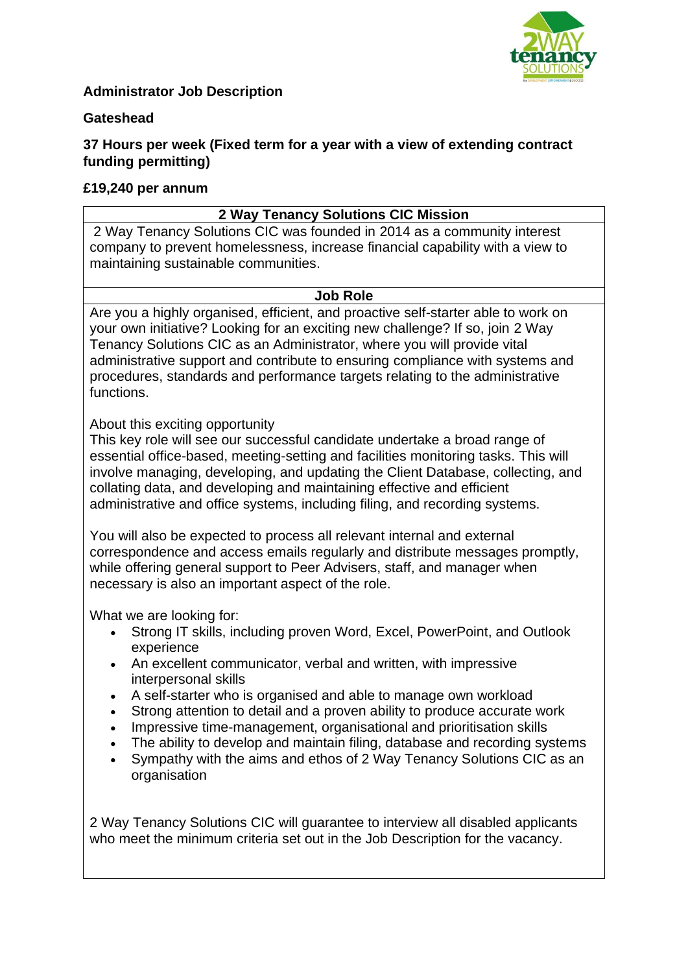

## **Administrator Job Description**

#### **Gateshead**

## **37 Hours per week (Fixed term for a year with a view of extending contract funding permitting)**

#### **£19,240 per annum**

### **2 Way Tenancy Solutions CIC Mission**

2 Way Tenancy Solutions CIC was founded in 2014 as a community interest company to prevent homelessness, increase financial capability with a view to maintaining sustainable communities.

#### **Job Role**

Are you a highly organised, efficient, and proactive self-starter able to work on your own initiative? Looking for an exciting new challenge? If so, join 2 Way Tenancy Solutions CIC as an Administrator, where you will provide vital administrative support and contribute to ensuring compliance with systems and procedures, standards and performance targets relating to the administrative functions.

About this exciting opportunity

This key role will see our successful candidate undertake a broad range of essential office-based, meeting-setting and facilities monitoring tasks. This will involve managing, developing, and updating the Client Database, collecting, and collating data, and developing and maintaining effective and efficient administrative and office systems, including filing, and recording systems.

You will also be expected to process all relevant internal and external correspondence and access emails regularly and distribute messages promptly, while offering general support to Peer Advisers, staff, and manager when necessary is also an important aspect of the role.

What we are looking for:

- Strong IT skills, including proven Word, Excel, PowerPoint, and Outlook experience
- An excellent communicator, verbal and written, with impressive interpersonal skills
- A self-starter who is organised and able to manage own workload
- Strong attention to detail and a proven ability to produce accurate work
- Impressive time-management, organisational and prioritisation skills
- The ability to develop and maintain filing, database and recording systems
- Sympathy with the aims and ethos of 2 Way Tenancy Solutions CIC as an organisation

2 Way Tenancy Solutions CIC will guarantee to interview all disabled applicants who meet the minimum criteria set out in the Job Description for the vacancy.